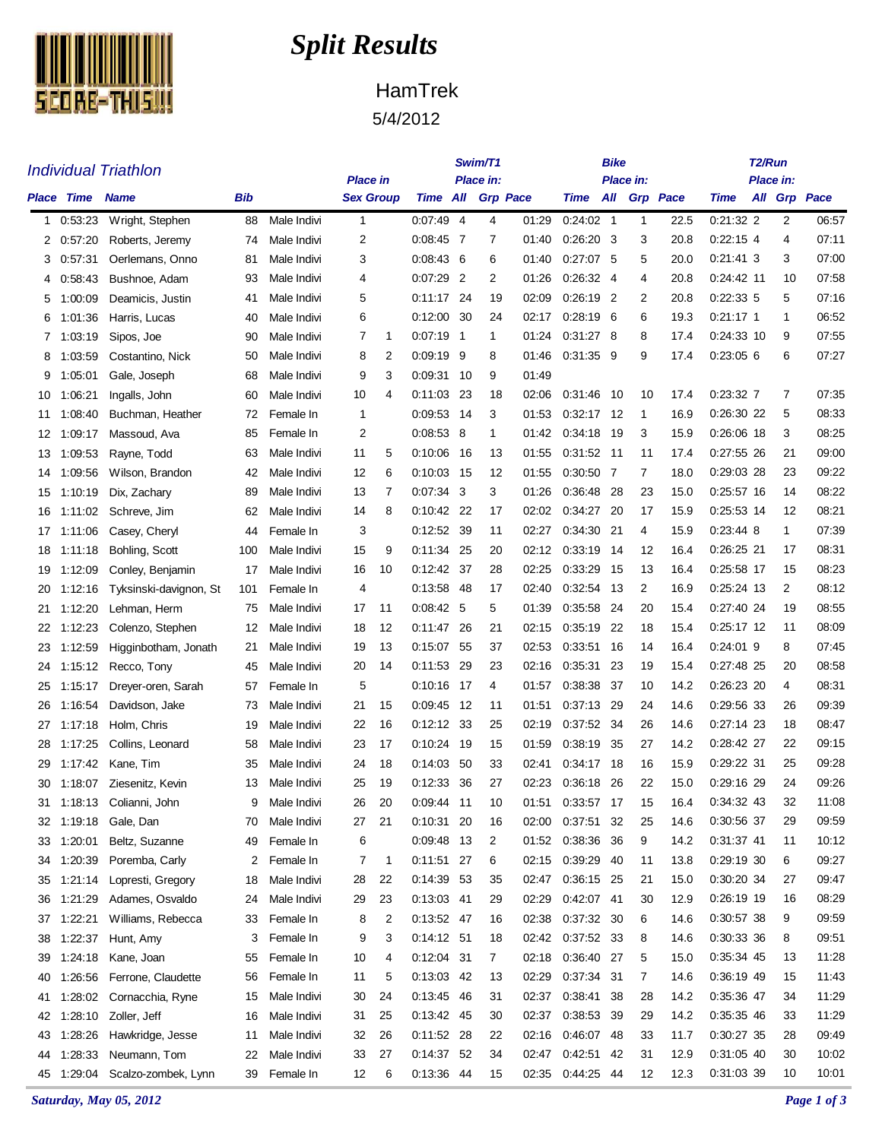

## *Split Results*

## HamTrek 5/4/2012

| <b>Individual Triathlon</b> |                        |                          |     |             |                 |    |                   |           | Swim/T1 |                 |              | Bike      |              |                 | T <sub>2</sub> /Run |  |                |              |  |
|-----------------------------|------------------------|--------------------------|-----|-------------|-----------------|----|-------------------|-----------|---------|-----------------|--------------|-----------|--------------|-----------------|---------------------|--|----------------|--------------|--|
|                             |                        |                          |     |             | <b>Place in</b> |    |                   | Place in: |         |                 |              | Place in: |              |                 | Place in:           |  |                |              |  |
|                             | <b>Place Time Name</b> |                          | Bib |             | Sex Group       |    | Time All          |           |         | <b>Grp Pace</b> | Time         | All       |              | <b>Grp</b> Pace | <b>Time</b>         |  |                | All Grp Pace |  |
| 1                           | 0:53:23                | Wright, Stephen          | 88  | Male Indivi | $\mathbf{1}$    |    | 0.07.49           | -4        | 4       | 01:29           | $0.24:02$ 1  |           | $\mathbf{1}$ | 22.5            | $0.21:32$ 2         |  | $\overline{2}$ | 06:57        |  |
| 2                           | 0:57:20                | Roberts, Jeremy          | 74  | Male Indivi | 2               |    | $0.08.45$ 7       |           | 7       | 01:40           | $0:26:20$ 3  |           | 3            | 20.8            | $0:22:15$ 4         |  | 4              | 07:11        |  |
| 3                           | 0:57:31                | Oerlemans, Onno          | 81  | Male Indivi | 3               |    | $0:08:43$ 6       |           | 6       | 01:40           | $0:27:07$ 5  |           | 5            | 20.0            | $0:21:41$ 3         |  | 3              | 07:00        |  |
| 4                           | 0:58:43                | Bushnoe, Adam            | 93  | Male Indivi | 4               |    | $0:07:29$ 2       |           | 2       | 01:26           | 0:26:32 4    |           | 4            | 20.8            | $0.24.42$ 11        |  | 10             | 07:58        |  |
| 5                           | 1:00:09                | Deamicis, Justin         | 41  | Male Indivi | 5               |    | 0:11:17 24        |           | 19      | 02:09           | $0.26:19$ 2  |           | 2            | 20.8            | 0.22.335            |  | 5              | 07:16        |  |
| 6                           | 1:01:36                | Harris, Lucas            | 40  | Male Indivi | 6               |    | 0:12:00           | -30       | 24      | 02:17           | $0:28:19$ 6  |           | 6            | 19.3            | $0:21:17$ 1         |  | 1              | 06:52        |  |
| 7                           | 1:03:19                | Sipos, Joe               | 90  | Male Indivi | 7               | 1  | $0.07:19$ 1       |           | 1       | 01:24           | $0.31:27$ 8  |           | 8            | 17.4            | 0:24:33 10          |  | 9              | 07:55        |  |
| 8                           | 1:03:59                | Costantino, Nick         | 50  | Male Indivi | 8               | 2  | $0.09.19$ 9       |           | 8       | 01:46           | 0.31:35 9    |           | 9            | 17.4            | 0:23:056            |  | 6              | 07:27        |  |
| 9                           | 1:05:01                | Gale, Joseph             | 68  | Male Indivi | 9               | 3  | 0:09:31           | - 10      | 9       | 01:49           |              |           |              |                 |                     |  |                |              |  |
| 10                          | 1:06:21                | Ingalls, John            | 60  | Male Indivi | 10              | 4  | 0:11:03           | -23       | 18      | 02:06           | 0:31:46      | - 10      | 10           | 17.4            | 0:23:32 7           |  | 7              | 07:35        |  |
| 11                          | 1:08:40                | Buchman, Heather         | 72  | Female In   | 1               |    | 0.09.53 14        |           | 3       | 01:53           | $0:32:17$ 12 |           | 1            | 16.9            | 0:26:30 22          |  | 5              | 08:33        |  |
| 12                          | 1:09:17                | Massoud, Ava             | 85  | Female In   | $\overline{2}$  |    | $0:08:53$ 8       |           | 1       | 01:42           | 0:34:18      | -19       | 3            | 15.9            | 0.26.06 18          |  | 3              | 08:25        |  |
| 13                          | 1:09:53                | Ravne. Todd              | 63  | Male Indivi | 11              | 5  | 0.10.06 16        |           | 13      | 01:55           | 0:31:52 11   |           | 11           | 17.4            | 0:27:55 26          |  | 21             | 09:00        |  |
| 14                          | 1:09:56                | Wilson, Brandon          | 42  | Male Indivi | 12              | 6  | 0.10.03 15        |           | 12      | 01:55           | 0:30:50      | - 7       | 7            | 18.0            | 0.29:03 28          |  | 23             | 09:22        |  |
| 15                          | 1:10:19                | Dix, Zachary             | 89  | Male Indivi | 13              | 7  | $0:07:34$ 3       |           | 3       | 01:26           | 0:36:48      | 28        | 23           | 15.0            | 0.25.57 16          |  | 14             | 08:22        |  |
| 16                          | 1:11:02                | Schreve, Jim             | 62  | Male Indivi | 14              | 8  | 0:10:42 22        |           | 17      | 02:02           | 0:34:27      | -20       | 17           | 15.9            | 0:25:53 14          |  | 12             | 08:21        |  |
| 17                          | 1:11:06                | Casey, Cheryl            | 44  | Female In   | 3               |    | 0:12:52 39        |           | 11      | 02:27           | 0:34:30      | 21        | 4            | 15.9            | $0.23.44$ 8         |  | 1              | 07:39        |  |
| 18                          | 1:11:18                | Bohling, Scott           | 100 | Male Indivi | 15              | 9  | 0:11:34 25        |           | 20      | 02:12           | 0:33:19      | -14       | 12           | 16.4            | 0:26:25 21          |  | 17             | 08:31        |  |
| 19                          | 1:12:09                | Conley, Benjamin         | 17  | Male Indivi | 16              | 10 | 0:12:42 37        |           | 28      | 02:25           | 0:33:29      | - 15      | 13           | 16.4            | 0.25.58 17          |  | 15             | 08:23        |  |
| 20                          | 1:12:16                | Tyksinski-davignon, St   | 101 | Female In   | 4               |    | 0:13:58 48        |           | 17      | 02:40           | 0.32.54      | -13       | 2            | 16.9            | 0:25:24 13          |  | 2              | 08:12        |  |
| 21                          | 1:12:20                | Lehman, Herm             | 75  | Male Indivi | 17              | 11 | $0.08:42 \quad 5$ |           | 5       | 01:39           | 0:35:58      | 24        | 20           | 15.4            | 0:27:40 24          |  | 19             | 08:55        |  |
| 22                          | 1:12:23                | Colenzo, Stephen         | 12  | Male Indivi | 18              | 12 | 0:11:47           | -26       | 21      | 02:15           | 0.35.19      | 22        | 18           | 15.4            | $0:25:17$ 12        |  | 11             | 08:09        |  |
| 23                          | 1:12:59                | Higginbotham, Jonath     | 21  | Male Indivi | 19              | 13 | 0.15.07 55        |           | 37      | 02:53           | 0.33.51      | -16       | 14           | 16.4            | $0:24:01$ 9         |  | 8              | 07:45        |  |
| 24                          | 1:15:12                | Recco, Tony              | 45  | Male Indivi | 20              | 14 | 0.11:53           | -29       | 23      | 02:16           | 0.35.31      | 23        | 19           | 15.4            | 0.27:48 25          |  | 20             | 08:58        |  |
| 25                          | 1:15:17                | Dreyer-oren, Sarah       | 57  | Female In   | 5               |    | 0:10:16 17        |           | 4       | 01:57           | 0.38.38      | 37        | 10           | 14.2            | 0.26.23 20          |  | 4              | 08:31        |  |
| 26                          | 1:16:54                | Davidson, Jake           | 73  | Male Indivi | 21              | 15 | 0.09.45           | - 12      | 11      | 01:51           | 0:37:13      | -29       | 24           | 14.6            | 0.29.56 33          |  | 26             | 09:39        |  |
| 27                          | 1:17:18                | Holm, Chris              | 19  | Male Indivi | 22              | 16 | 0:12:12 33        |           | 25      | 02:19           | 0:37:52 34   |           | 26           | 14.6            | 0:27:14 23          |  | 18             | 08:47        |  |
| 28                          | 1:17:25                | Collins, Leonard         | 58  | Male Indivi | 23              | 17 | 0:10:24 19        |           | 15      | 01:59           | 0:38:19      | 35        | 27           | 14.2            | 0:28:42 27          |  | 22             | 09:15        |  |
| 29                          | 1:17:42                | Kane, Tim                | 35  | Male Indivi | 24              | 18 | 0.14.03           | 50        | 33      | 02:41           | 0:34:17      | -18       | 16           | 15.9            | 0:29:22 31          |  | 25             | 09:28        |  |
| 30                          |                        | 1:18:07 Ziesenitz, Kevin | 13  | Male Indivi | 25              | 19 | 0:12:33           | -36       | 27      | 02:23           | 0:36:18      | -26       | 22           | 15.0            | 0.29.16 29          |  | 24             | 09:26        |  |
| 31                          |                        | 1:18:13 Colianni, John   | 9   | Male Indivi | 26              | 20 | 0:09:44           | - 11      | 10      | 01:51           | 0:33:57 17   |           | 15           | 16.4            | 0:34:32 43          |  | 32             | 11:08        |  |
| 32                          | 1:19:18                | Gale, Dan                | 70  | Male Indivi | 27              | 21 | 0:10:31 20        |           | 16      | 02:00           | 0:37:51      | 32        | 25           | 14.6            | 0:30:56 37          |  | 29             | 09:59        |  |
| 33                          | 1:20:01                | Beltz, Suzanne           | 49  | Female In   | 6               |    | 0:09:48 13        |           | 2       | 01:52           | 0:38:36 36   |           | 9            | 14.2            | 0:31:37 41          |  | 11             | 10:12        |  |
| 34                          | 1:20:39                | Poremba, Carly           | 2   | Female In   | 7               | 1  | 0:11:51 27        |           | 6       | 02:15           | 0:39:29 40   |           | 11           | 13.8            | 0:29:19 30          |  | 6              | 09:27        |  |
| 35                          | 1:21:14                | Lopresti, Gregory        | 18  | Male Indivi | 28              | 22 | 0:14:39 53        |           | 35      | 02:47           | 0:36:15 25   |           | 21           | 15.0            | 0:30:20 34          |  | 27             | 09:47        |  |
| 36                          | 1:21:29                | Adames, Osvaldo          | 24  | Male Indivi | 29              | 23 | 0:13:03 41        |           | 29      | 02:29           | 0:42:07 41   |           | 30           | 12.9            | 0:26:19 19          |  | 16             | 08:29        |  |
| 37                          | 1:22:21                | Williams, Rebecca        | 33  | Female In   | 8               | 2  | 0:13:52 47        |           | 16      | 02:38           | 0:37:32 30   |           | 6            | 14.6            | 0:30:57 38          |  | 9              | 09:59        |  |
| 38                          | 1:22:37                | Hunt, Amy                | 3   | Female In   | 9               | 3  | 0:14:12 51        |           | 18      | 02:42           | 0:37:52 33   |           | 8            | 14.6            | 0:30:33 36          |  | 8              | 09:51        |  |
| 39                          | 1:24:18                | Kane, Joan               | 55  | Female In   | 10              | 4  | 0:12:04 31        |           | 7       | 02:18           | 0:36:40 27   |           | 5            | 15.0            | 0:35:34 45          |  | 13             | 11:28        |  |
| 40                          | 1:26:56                | Ferrone, Claudette       | 56  | Female In   | 11              | 5  | 0:13:03 42        |           | 13      | 02:29           | 0:37:34 31   |           | 7            | 14.6            | 0:36:19 49          |  | 15             | 11:43        |  |
| 41                          | 1:28:02                | Cornacchia, Ryne         | 15  | Male Indivi | 30              | 24 | 0:13:45 46        |           | 31      | 02:37           | 0:38:41 38   |           | 28           | 14.2            | 0:35:36 47          |  | 34             | 11:29        |  |
| 42                          |                        | 1:28:10 Zoller, Jeff     | 16  | Male Indivi | 31              | 25 | 0:13:42 45        |           | 30      | 02:37           | 0:38:53 39   |           | 29           | 14.2            | 0:35:35 46          |  | 33             | 11:29        |  |
| 43                          | 1:28:26                | Hawkridge, Jesse         | 11  | Male Indivi | 32              | 26 | 0:11:52 28        |           | 22      | 02:16           | 0:46:07 48   |           | 33           | 11.7            | 0:30:27 35          |  | 28             | 09:49        |  |
| 44                          | 1:28:33                | Neumann, Tom             | 22  | Male Indivi | 33              | 27 | 0:14:37 52        |           | 34      | 02:47           | 0:42:51 42   |           | 31           | 12.9            | 0:31:05 40          |  | 30             | 10:02        |  |
| 45                          | 1:29:04                | Scalzo-zombek, Lynn      | 39  | Female In   | 12              | 6  | 0:13:36 44        |           | 15      | 02:35           | 0:44:25 44   |           | 12           | 12.3            | 0:31:03 39          |  | 10             | 10:01        |  |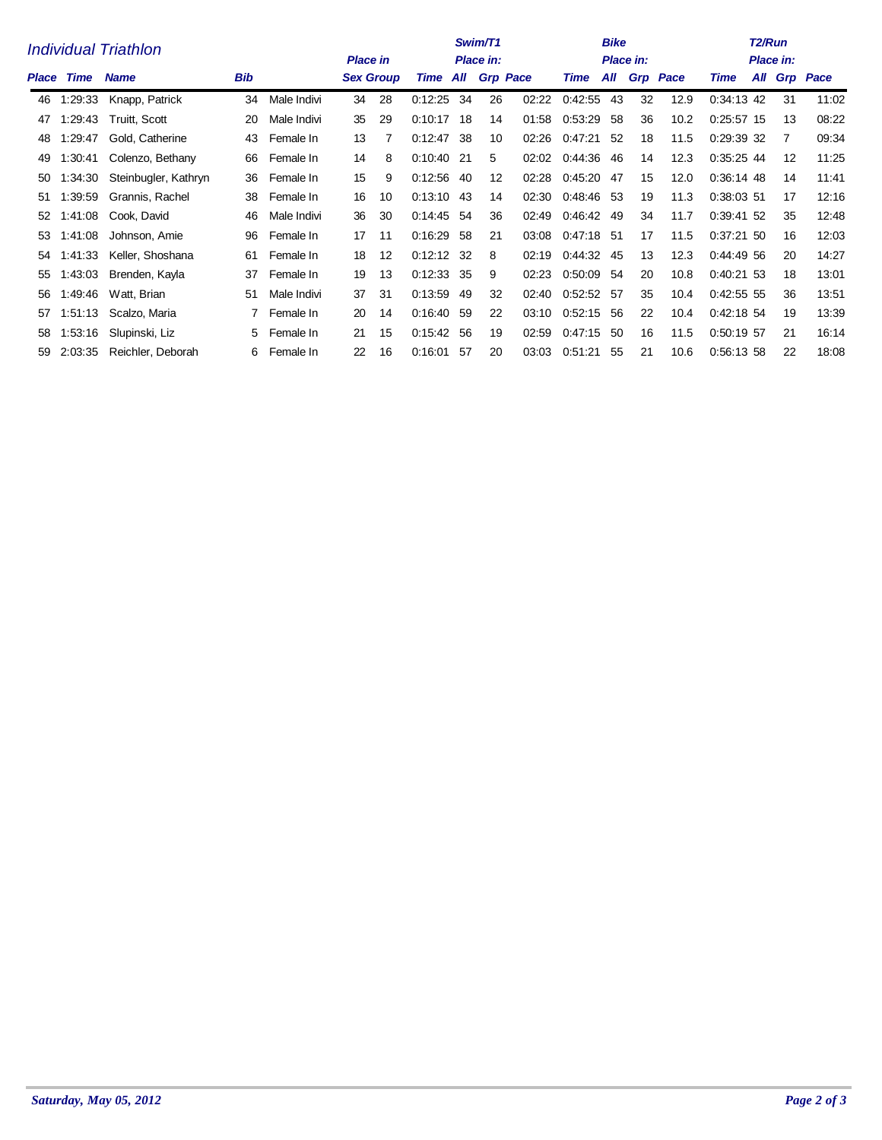| Individual Triathlon |         |                      |     |             |    | Swim/T1<br><b>Place in</b><br>Place in: |              |          |                 |       |            | <b>Bike</b> | Place in: |                 | T <sub>2</sub> /Run<br>Place in: |  |    |              |  |
|----------------------|---------|----------------------|-----|-------------|----|-----------------------------------------|--------------|----------|-----------------|-------|------------|-------------|-----------|-----------------|----------------------------------|--|----|--------------|--|
| Place                | Time    | <b>Name</b>          | Bib |             |    | <b>Sex Group</b>                        |              | Time All | <b>Grp Pace</b> |       | Time       | All         |           | <b>Grp Pace</b> | Time                             |  |    | All Grp Pace |  |
| 46                   | 1:29:33 | Knapp, Patrick       | 34  | Male Indivi | 34 | 28                                      | 0:12:25      | 34       | 26              | 02:22 | 0:42.55    | 43          | 32        | 12.9            | 0:34:13 42                       |  | 31 | 11:02        |  |
| 47                   | 1:29:43 | Truitt, Scott        | 20  | Male Indivi | 35 | 29                                      | 0:10:17      | -18      | 14              | 01:58 | 0.53.29    | -58         | 36        | 10.2            | $0:25:57$ 15                     |  | 13 | 08:22        |  |
| 48                   | 1.29:47 | Gold, Catherine      | 43  | Female In   | 13 | 7                                       | 0:12:47      | -38      | 10              | 02:26 | 0:47:21    | -52         | 18        | 11.5            | 0:29:39 32                       |  | 7  | 09:34        |  |
| 49                   | 1:30:41 | Colenzo, Bethany     | 66  | Female In   | 14 | 8                                       | 0:10:40 21   |          | 5               | 02:02 | 0:44:36    | 46          | 14        | 12.3            | $0:35:25$ 44                     |  | 12 | 11:25        |  |
| 50                   | 1:34:30 | Steinbugler, Kathryn | 36  | Female In   | 15 | 9                                       | $0:12:56$ 40 |          | 12              | 02:28 | 0:45:20    | 47          | 15        | 12.0            | 0:36:14 48                       |  | 14 | 11:41        |  |
| 51                   | 1:39:59 | Grannis, Rachel      | 38  | Female In   | 16 | 10                                      | $0:13:10$ 43 |          | 14              | 02:30 | 0:48:46 53 |             | 19        | 11.3            | 0:38:03 51                       |  | 17 | 12:16        |  |
| 52                   | 1:41:08 | Cook, David          | 46  | Male Indivi | 36 | 30                                      | 0:14:45 54   |          | 36              | 02:49 | 0:46:42    | 49          | 34        | 11.7            | 0:39:41 52                       |  | 35 | 12:48        |  |
| 53                   | 1:41:08 | Johnson, Amie        | 96  | Female In   | 17 | 11                                      | 0:16.29      | -58      | 21              | 03:08 | 0:47:18 51 |             | 17        | 11.5            | $0:37:21$ 50                     |  | 16 | 12:03        |  |
| 54                   | 1:41:33 | Keller, Shoshana     | 61  | Female In   | 18 | 12                                      | $0:12:12$ 32 |          | 8               | 02:19 | 0:44:32    | 45          | 13        | 12.3            | 0:44:49 56                       |  | 20 | 14:27        |  |
| 55                   | 1:43:03 | Brenden, Kayla       | 37  | Female In   | 19 | 13                                      | 0.12.33      | -35      | 9               | 02:23 | 0:50:09    | -54         | 20        | 10.8            | $0.40.21$ 53                     |  | 18 | 13:01        |  |
| 56                   | 1:49:46 | Watt, Brian          | 51  | Male Indivi | 37 | 31                                      | 0:13:59      | -49      | 32              | 02:40 | 0:52:52 57 |             | 35        | 10.4            | 0.42:55.55                       |  | 36 | 13:51        |  |
| 57                   | 1:51:13 | Scalzo, Maria        |     | Female In   | 20 | 14                                      | 0.16:40      | 59       | 22              | 03:10 | 0:52:15    | 56          | 22        | 10.4            | $0:42:18$ 54                     |  | 19 | 13:39        |  |
| 58                   | 1:53:16 | Slupinski, Liz       | 5.  | Female In   | 21 | 15                                      | 0:15:42 56   |          | 19              | 02:59 | 0:47:15    | -50         | 16        | 11.5            | 0:50:19 57                       |  | 21 | 16:14        |  |
| 59                   | 2:03:35 | Reichler, Deborah    | 6.  | Female In   | 22 | 16                                      | 0.16.01      | 57       | 20              | 03:03 | 0:51:21    | 55          | 21        | 10.6            | 0:56:13 58                       |  | 22 | 18:08        |  |